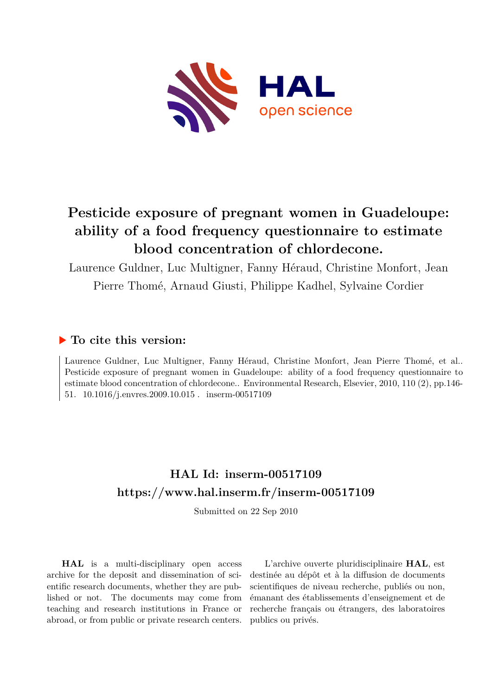

# **Pesticide exposure of pregnant women in Guadeloupe: ability of a food frequency questionnaire to estimate blood concentration of chlordecone.**

Laurence Guldner, Luc Multigner, Fanny Héraud, Christine Monfort, Jean Pierre Thomé, Arnaud Giusti, Philippe Kadhel, Sylvaine Cordier

# **To cite this version:**

Laurence Guldner, Luc Multigner, Fanny Héraud, Christine Monfort, Jean Pierre Thomé, et al.. Pesticide exposure of pregnant women in Guadeloupe: ability of a food frequency questionnaire to estimate blood concentration of chlordecone.. Environmental Research, Elsevier, 2010, 110 (2), pp.146- 51.  $10.1016$ /j.envres.2009.10.015. inserm-00517109

# **HAL Id: inserm-00517109 <https://www.hal.inserm.fr/inserm-00517109>**

Submitted on 22 Sep 2010

**HAL** is a multi-disciplinary open access archive for the deposit and dissemination of scientific research documents, whether they are published or not. The documents may come from teaching and research institutions in France or abroad, or from public or private research centers.

L'archive ouverte pluridisciplinaire **HAL**, est destinée au dépôt et à la diffusion de documents scientifiques de niveau recherche, publiés ou non, émanant des établissements d'enseignement et de recherche français ou étrangers, des laboratoires publics ou privés.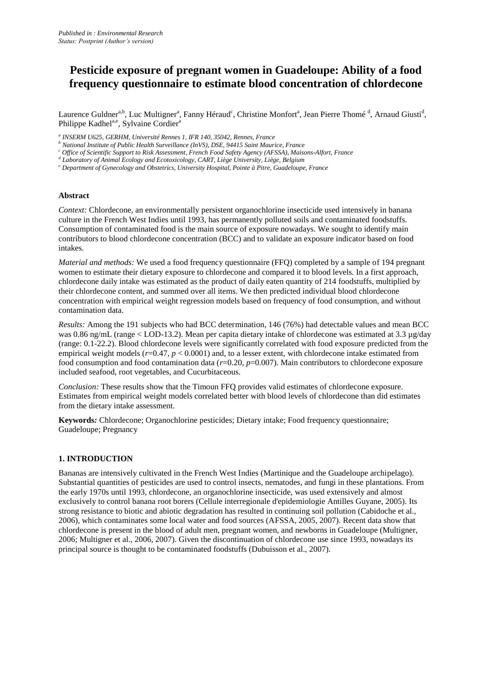# **Pesticide exposure of pregnant women in Guadeloupe: Ability of a food frequency questionnaire to estimate blood concentration of chlordecone**

Laurence Guldner<sup>a,b</sup>, Luc Multigner<sup>a</sup>, Fanny Héraud<sup>c</sup>, Christine Monfort<sup>a</sup>, Jean Pierre Thomé <sup>d</sup>, Arnaud Giusti<sup>d</sup>, Philippe Kadhel<sup>a,e</sup>, Sylvaine Cordier<sup>a</sup>

*a INSERM U625, GERHM, Université Rennes 1, IFR 140, 35042, Rennes, France*

*<sup>b</sup> National Institute of Public Health Surveillance (InVS), DSE, 94415 Saint Maurice, France*

*<sup>c</sup> Office of Scientific Support to Risk Assessment, French Food Safety Agency (AFSSA), Maisons-Alfort, France*

*d Laboratory of Animal Ecology and Ecotoxicology, CART, Liège University, Liège, Belgium*

*<sup>e</sup> Department of Gynecology and Obstetrics, University Hospital, Pointe à Pitre, Guadeloupe, France*

#### **Abstract**

*Context:* Chlordecone, an environmentally persistent organochlorine insecticide used intensively in banana culture in the French West Indies until 1993, has permanently polluted soils and contaminated foodstuffs. Consumption of contaminated food is the main source of exposure nowadays. We sought to identify main contributors to blood chlordecone concentration (BCC) and to validate an exposure indicator based on food intakes.

*Material and methods:* We used a food frequency questionnaire (FFQ) completed by a sample of 194 pregnant women to estimate their dietary exposure to chlordecone and compared it to blood levels. In a first approach, chlordecone daily intake was estimated as the product of daily eaten quantity of 214 foodstuffs, multiplied by their chlordecone content, and summed over all items. We then predicted individual blood chlordecone concentration with empirical weight regression models based on frequency of food consumption, and without contamination data.

*Results:* Among the 191 subjects who had BCC determination, 146 (76%) had detectable values and mean BCC was 0.86 ng/mL (range < LOD-13.2). Mean per capita dietary intake of chlordecone was estimated at 3.3 µg/day (range: 0.1-22.2). Blood chlordecone levels were significantly correlated with food exposure predicted from the empirical weight models ( $r=0.47$ ,  $p < 0.0001$ ) and, to a lesser extent, with chlordecone intake estimated from food consumption and food contamination data (*r*=0.20, *p*=0.007). Main contributors to chlordecone exposure included seafood, root vegetables, and Cucurbitaceous.

*Conclusion:* These results show that the Timoun FFQ provides valid estimates of chlordecone exposure. Estimates from empirical weight models correlated better with blood levels of chlordecone than did estimates from the dietary intake assessment.

**Keywords***:* Chlordecone; Organochlorine pesticides; Dietary intake; Food frequency questionnaire; Guadeloupe; Pregnancy

#### **1. INTRODUCTION**

Bananas are intensively cultivated in the French West Indies (Martinique and the Guadeloupe archipelago). Substantial quantities of pesticides are used to control insects, nematodes, and fungi in these plantations. From the early 1970s until 1993, chlordecone, an organochlorine insecticide, was used extensively and almost exclusively to control banana root borers (Cellule interregionale d'epidemiologie Antilles Guyane, 2005). Its strong resistance to biotic and abiotic degradation has resulted in continuing soil pollution (Cabidoche et al., 2006), which contaminates some local water and food sources (AFSSA, 2005, 2007). Recent data show that chlordecone is present in the blood of adult men, pregnant women, and newborns in Guadeloupe (Multigner, 2006; Multigner et al., 2006, 2007). Given the discontinuation of chlordecone use since 1993, nowadays its principal source is thought to be contaminated foodstuffs (Dubuisson et al., 2007).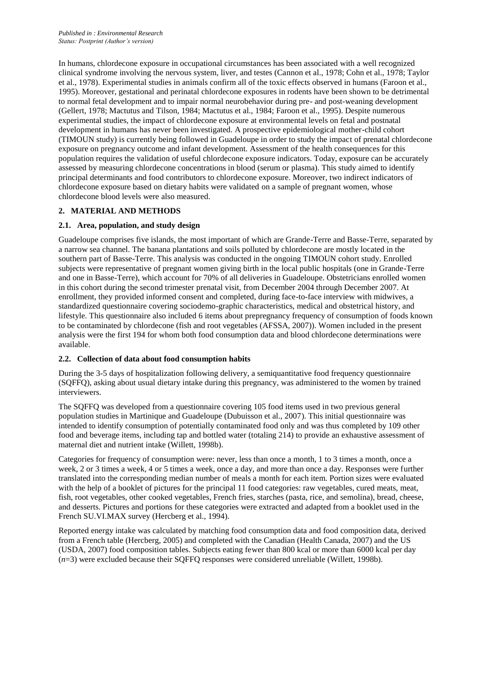In humans, chlordecone exposure in occupational circumstances has been associated with a well recognized clinical syndrome involving the nervous system, liver, and testes (Cannon et al., 1978; Cohn et al., 1978; Taylor et al., 1978). Experimental studies in animals confirm all of the toxic effects observed in humans (Faroon et al., 1995). Moreover, gestational and perinatal chlordecone exposures in rodents have been shown to be detrimental to normal fetal development and to impair normal neurobehavior during pre- and post-weaning development (Gellert, 1978; Mactutus and Tilson, 1984; Mactutus et al., 1984; Faroon et al., 1995). Despite numerous experimental studies, the impact of chlordecone exposure at environmental levels on fetal and postnatal development in humans has never been investigated. A prospective epidemiological mother-child cohort (TIMOUN study) is currently being followed in Guadeloupe in order to study the impact of prenatal chlordecone exposure on pregnancy outcome and infant development. Assessment of the health consequences for this population requires the validation of useful chlordecone exposure indicators. Today, exposure can be accurately assessed by measuring chlordecone concentrations in blood (serum or plasma). This study aimed to identify principal determinants and food contributors to chlordecone exposure. Moreover, two indirect indicators of chlordecone exposure based on dietary habits were validated on a sample of pregnant women, whose chlordecone blood levels were also measured.

## **2. MATERIAL AND METHODS**

## **2.1. Area, population, and study design**

Guadeloupe comprises five islands, the most important of which are Grande-Terre and Basse-Terre, separated by a narrow sea channel. The banana plantations and soils polluted by chlordecone are mostly located in the southern part of Basse-Terre. This analysis was conducted in the ongoing TIMOUN cohort study. Enrolled subjects were representative of pregnant women giving birth in the local public hospitals (one in Grande-Terre and one in Basse-Terre), which account for 70% of all deliveries in Guadeloupe. Obstetricians enrolled women in this cohort during the second trimester prenatal visit, from December 2004 through December 2007. At enrollment, they provided informed consent and completed, during face-to-face interview with midwives, a standardized questionnaire covering sociodemo-graphic characteristics, medical and obstetrical history, and lifestyle. This questionnaire also included 6 items about prepregnancy frequency of consumption of foods known to be contaminated by chlordecone (fish and root vegetables (AFSSA, 2007)). Women included in the present analysis were the first 194 for whom both food consumption data and blood chlordecone determinations were available.

## **2.2. Collection of data about food consumption habits**

During the 3-5 days of hospitalization following delivery, a semiquantitative food frequency questionnaire (SQFFQ), asking about usual dietary intake during this pregnancy, was administered to the women by trained interviewers.

The SQFFQ was developed from a questionnaire covering 105 food items used in two previous general population studies in Martinique and Guadeloupe (Dubuisson et al., 2007). This initial questionnaire was intended to identify consumption of potentially contaminated food only and was thus completed by 109 other food and beverage items, including tap and bottled water (totaling 214) to provide an exhaustive assessment of maternal diet and nutrient intake (Willett, 1998b).

Categories for frequency of consumption were: never, less than once a month, 1 to 3 times a month, once a week, 2 or 3 times a week, 4 or 5 times a week, once a day, and more than once a day. Responses were further translated into the corresponding median number of meals a month for each item. Portion sizes were evaluated with the help of a booklet of pictures for the principal 11 food categories: raw vegetables, cured meats, meat, fish, root vegetables, other cooked vegetables, French fries, starches (pasta, rice, and semolina), bread, cheese, and desserts. Pictures and portions for these categories were extracted and adapted from a booklet used in the French SU.VI.MAX survey (Hercberg et al., 1994).

Reported energy intake was calculated by matching food consumption data and food composition data, derived from a French table (Hercberg, 2005) and completed with the Canadian (Health Canada, 2007) and the US (USDA, 2007) food composition tables. Subjects eating fewer than 800 kcal or more than 6000 kcal per day (*n*=3) were excluded because their SQFFQ responses were considered unreliable (Willett, 1998b).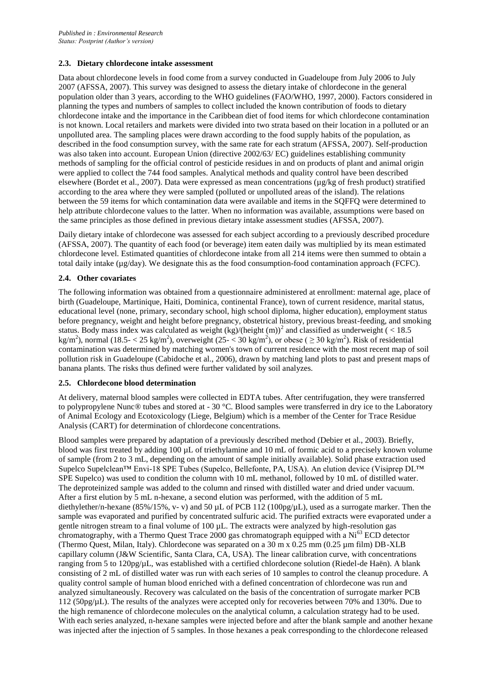#### **2.3. Dietary chlordecone intake assessment**

Data about chlordecone levels in food come from a survey conducted in Guadeloupe from July 2006 to July 2007 (AFSSA, 2007). This survey was designed to assess the dietary intake of chlordecone in the general population older than 3 years, according to the WHO guidelines (FAO/WHO, 1997, 2000). Factors considered in planning the types and numbers of samples to collect included the known contribution of foods to dietary chlordecone intake and the importance in the Caribbean diet of food items for which chlordecone contamination is not known. Local retailers and markets were divided into two strata based on their location in a polluted or an unpolluted area. The sampling places were drawn according to the food supply habits of the population, as described in the food consumption survey, with the same rate for each stratum (AFSSA, 2007). Self-production was also taken into account. European Union (directive 2002/63/ EC) guidelines establishing community methods of sampling for the official control of pesticide residues in and on products of plant and animal origin were applied to collect the 744 food samples. Analytical methods and quality control have been described elsewhere (Bordet et al., 2007). Data were expressed as mean concentrations (µg/kg of fresh product) stratified according to the area where they were sampled (polluted or unpolluted areas of the island). The relations between the 59 items for which contamination data were available and items in the SQFFQ were determined to help attribute chlordecone values to the latter. When no information was available, assumptions were based on the same principles as those defined in previous dietary intake assessment studies (AFSSA, 2007).

Daily dietary intake of chlordecone was assessed for each subject according to a previously described procedure (AFSSA, 2007). The quantity of each food (or beverage) item eaten daily was multiplied by its mean estimated chlordecone level. Estimated quantities of chlordecone intake from all 214 items were then summed to obtain a total daily intake (µg/day). We designate this as the food consumption-food contamination approach (FCFC).

#### **2.4. Other covariates**

The following information was obtained from a questionnaire administered at enrollment: maternal age, place of birth (Guadeloupe, Martinique, Haiti, Dominica, continental France), town of current residence, marital status, educational level (none, primary, secondary school, high school diploma, higher education), employment status before pregnancy, weight and height before pregnancy, obstetrical history, previous breast-feeding, and smoking status. Body mass index was calculated as weight  $(kg)/(height (m))^2$  and classified as underweight (<18.5) kg/m<sup>2</sup>), normal (18.5- < 25 kg/m<sup>2</sup>), overweight (25- < 30 kg/m<sup>2</sup>), or obese (  $\geq$  30 kg/m<sup>2</sup>). Risk of residential contamination was determined by matching women's town of current residence with the most recent map of soil pollution risk in Guadeloupe (Cabidoche et al., 2006), drawn by matching land plots to past and present maps of banana plants. The risks thus defined were further validated by soil analyzes.

#### **2.5. Chlordecone blood determination**

At delivery, maternal blood samples were collected in EDTA tubes. After centrifugation, they were transferred to polypropylene Nunc® tubes and stored at - 30 °C. Blood samples were transferred in dry ice to the Laboratory of Animal Ecology and Ecotoxicology (Liege, Belgium) which is a member of the Center for Trace Residue Analysis (CART) for determination of chlordecone concentrations.

Blood samples were prepared by adaptation of a previously described method (Debier et al., 2003). Briefly, blood was first treated by adding 100 µL of triethylamine and 10 mL of formic acid to a precisely known volume of sample (from 2 to 3 mL, depending on the amount of sample initially available). Solid phase extraction used Supelco Supelclean™ Envi-18 SPE Tubes (Supelco, Bellefonte, PA, USA). An elution device (Visiprep DL™ SPE Supelco) was used to condition the column with 10 mL methanol, followed by 10 mL of distilled water. The deproteinized sample was added to the column and rinsed with distilled water and dried under vacuum. After a first elution by 5 mL n-hexane, a second elution was performed, with the addition of 5 mL diethylether/n-hexane (85%/15%, v- v) and 50 µL of PCB 112 (100pg/µL), used as a surrogate marker. Then the sample was evaporated and purified by concentrated sulfuric acid. The purified extracts were evaporated under a gentle nitrogen stream to a final volume of 100 µL. The extracts were analyzed by high-resolution gas chromatography, with a Thermo Quest Trace 2000 gas chromatograph equipped with a Ni<sup>63</sup> ECD detector (Thermo Quest, Milan, Italy). Chlordecone was separated on a  $30 \text{ m} \times 0.25 \text{ mm}$  (0.25  $\mu$ m film) DB-XLB capillary column (J&W Scientific, Santa Clara, CA, USA). The linear calibration curve, with concentrations ranging from 5 to 120pg/µL, was established with a certified chlordecone solution (Riedel-de Haën). A blank consisting of 2 mL of distilled water was run with each series of 10 samples to control the cleanup procedure. A quality control sample of human blood enriched with a defined concentration of chlordecone was run and analyzed simultaneously. Recovery was calculated on the basis of the concentration of surrogate marker PCB 112 (50pg/µL). The results of the analyzes were accepted only for recoveries between 70% and 130%. Due to the high remanence of chlordecone molecules on the analytical column, a calculation strategy had to be used. With each series analyzed, n-hexane samples were injected before and after the blank sample and another hexane was injected after the injection of 5 samples. In those hexanes a peak corresponding to the chlordecone released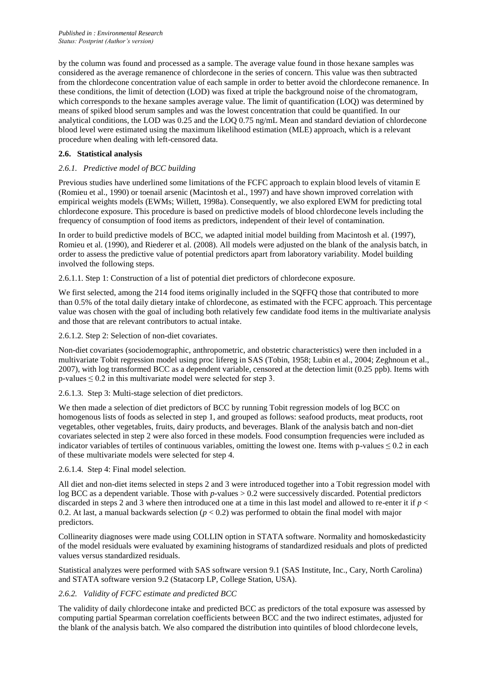by the column was found and processed as a sample. The average value found in those hexane samples was considered as the average remanence of chlordecone in the series of concern. This value was then subtracted from the chlordecone concentration value of each sample in order to better avoid the chlordecone remanence. In these conditions, the limit of detection (LOD) was fixed at triple the background noise of the chromatogram, which corresponds to the hexane samples average value. The limit of quantification (LOQ) was determined by means of spiked blood serum samples and was the lowest concentration that could be quantified. In our analytical conditions, the LOD was 0.25 and the LOQ 0.75 ng/mL Mean and standard deviation of chlordecone blood level were estimated using the maximum likelihood estimation (MLE) approach, which is a relevant procedure when dealing with left-censored data.

## **2.6. Statistical analysis**

# *2.6.1. Predictive model of BCC building*

Previous studies have underlined some limitations of the FCFC approach to explain blood levels of vitamin E (Romieu et al., 1990) or toenail arsenic (Macintosh et al., 1997) and have shown improved correlation with empirical weights models (EWMs; Willett, 1998a). Consequently, we also explored EWM for predicting total chlordecone exposure. This procedure is based on predictive models of blood chlordecone levels including the frequency of consumption of food items as predictors, independent of their level of contamination.

In order to build predictive models of BCC, we adapted initial model building from Macintosh et al. (1997), Romieu et al. (1990), and Riederer et al. (2008). All models were adjusted on the blank of the analysis batch, in order to assess the predictive value of potential predictors apart from laboratory variability. Model building involved the following steps.

2.6.1.1. Step 1: Construction of a list of potential diet predictors of chlordecone exposure.

We first selected, among the 214 food items originally included in the SQFFQ those that contributed to more than 0.5% of the total daily dietary intake of chlordecone, as estimated with the FCFC approach. This percentage value was chosen with the goal of including both relatively few candidate food items in the multivariate analysis and those that are relevant contributors to actual intake.

2.6.1.2. Step 2: Selection of non-diet covariates.

Non-diet covariates (sociodemographic, anthropometric, and obstetric characteristics) were then included in a multivariate Tobit regression model using proc lifereg in SAS (Tobin, 1958; Lubin et al., 2004; Zeghnoun et al., 2007), with log transformed BCC as a dependent variable, censored at the detection limit (0.25 ppb). Items with p-values  $\leq 0.2$  in this multivariate model were selected for step 3.

2.6.1.3. Step 3: Multi-stage selection of diet predictors.

We then made a selection of diet predictors of BCC by running Tobit regression models of log BCC on homogenous lists of foods as selected in step 1, and grouped as follows: seafood products, meat products, root vegetables, other vegetables, fruits, dairy products, and beverages. Blank of the analysis batch and non-diet covariates selected in step 2 were also forced in these models. Food consumption frequencies were included as indicator variables of tertiles of continuous variables, omitting the lowest one. Items with p-values  $\leq 0.2$  in each of these multivariate models were selected for step 4.

## 2.6.1.4. Step 4: Final model selection.

All diet and non-diet items selected in steps 2 and 3 were introduced together into a Tobit regression model with log BCC as a dependent variable. Those with *p*-values  $> 0.2$  were successively discarded. Potential predictors discarded in steps 2 and 3 where then introduced one at a time in this last model and allowed to re-enter it if  $p <$ 0.2. At last, a manual backwards selection  $(p < 0.2)$  was performed to obtain the final model with major predictors.

Collinearity diagnoses were made using COLLIN option in STATA software. Normality and homoskedasticity of the model residuals were evaluated by examining histograms of standardized residuals and plots of predicted values versus standardized residuals.

Statistical analyzes were performed with SAS software version 9.1 (SAS Institute, Inc., Cary, North Carolina) and STATA software version 9.2 (Statacorp LP, College Station, USA).

## *2.6.2. Validity of FCFC estimate and predicted BCC*

The validity of daily chlordecone intake and predicted BCC as predictors of the total exposure was assessed by computing partial Spearman correlation coefficients between BCC and the two indirect estimates, adjusted for the blank of the analysis batch. We also compared the distribution into quintiles of blood chlordecone levels,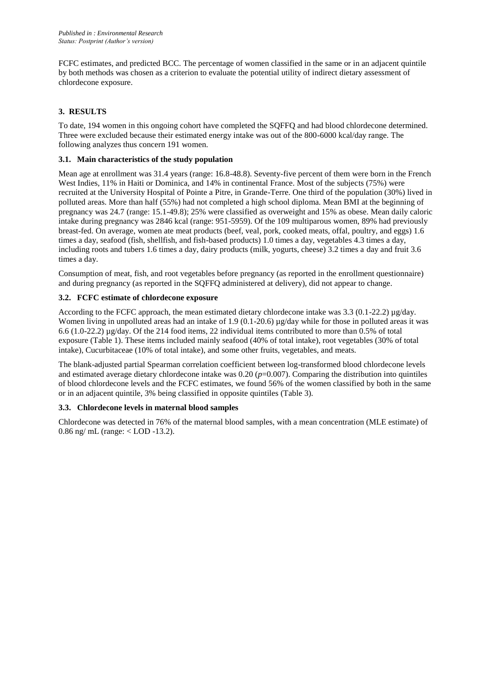FCFC estimates, and predicted BCC. The percentage of women classified in the same or in an adjacent quintile by both methods was chosen as a criterion to evaluate the potential utility of indirect dietary assessment of chlordecone exposure.

# **3. RESULTS**

To date, 194 women in this ongoing cohort have completed the SQFFQ and had blood chlordecone determined. Three were excluded because their estimated energy intake was out of the 800-6000 kcal/day range. The following analyzes thus concern 191 women.

#### **3.1. Main characteristics of the study population**

Mean age at enrollment was 31.4 years (range: 16.8-48.8). Seventy-five percent of them were born in the French West Indies, 11% in Haiti or Dominica, and 14% in continental France. Most of the subjects (75%) were recruited at the University Hospital of Pointe a Pitre, in Grande-Terre. One third of the population (30%) lived in polluted areas. More than half (55%) had not completed a high school diploma. Mean BMI at the beginning of pregnancy was 24.7 (range: 15.1-49.8); 25% were classified as overweight and 15% as obese. Mean daily caloric intake during pregnancy was 2846 kcal (range: 951-5959). Of the 109 multiparous women, 89% had previously breast-fed. On average, women ate meat products (beef, veal, pork, cooked meats, offal, poultry, and eggs) 1.6 times a day, seafood (fish, shellfish, and fish-based products) 1.0 times a day, vegetables 4.3 times a day, including roots and tubers 1.6 times a day, dairy products (milk, yogurts, cheese) 3.2 times a day and fruit 3.6 times a day.

Consumption of meat, fish, and root vegetables before pregnancy (as reported in the enrollment questionnaire) and during pregnancy (as reported in the SQFFQ administered at delivery), did not appear to change.

## **3.2. FCFC estimate of chlordecone exposure**

According to the FCFC approach, the mean estimated dietary chlordecone intake was 3.3 (0.1-22.2) µg/day. Women living in unpolluted areas had an intake of 1.9 (0.1-20.6) µg/day while for those in polluted areas it was 6.6 (1.0-22.2) µg/day. Of the 214 food items, 22 individual items contributed to more than 0.5% of total exposure (Table 1). These items included mainly seafood (40% of total intake), root vegetables (30% of total intake), Cucurbitaceae (10% of total intake), and some other fruits, vegetables, and meats.

The blank-adjusted partial Spearman correlation coefficient between log-transformed blood chlordecone levels and estimated average dietary chlordecone intake was  $0.20$  ( $p=0.007$ ). Comparing the distribution into quintiles of blood chlordecone levels and the FCFC estimates, we found 56% of the women classified by both in the same or in an adjacent quintile, 3% being classified in opposite quintiles (Table 3).

## **3.3. Chlordecone levels in maternal blood samples**

Chlordecone was detected in 76% of the maternal blood samples, with a mean concentration (MLE estimate) of 0.86 ng/ mL (range: < LOD -13.2).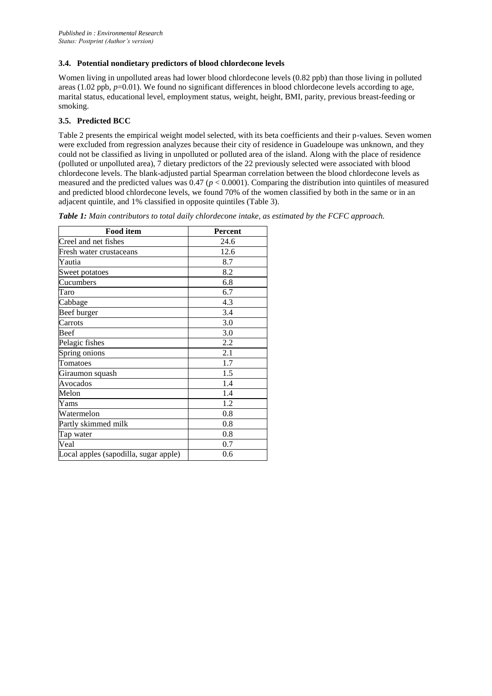#### **3.4. Potential nondietary predictors of blood chlordecone levels**

Women living in unpolluted areas had lower blood chlordecone levels (0.82 ppb) than those living in polluted areas (1.02 ppb,  $p=0.01$ ). We found no significant differences in blood chlordecone levels according to age, marital status, educational level, employment status, weight, height, BMI, parity, previous breast-feeding or smoking.

# **3.5. Predicted BCC**

Table 2 presents the empirical weight model selected, with its beta coefficients and their p-values. Seven women were excluded from regression analyzes because their city of residence in Guadeloupe was unknown, and they could not be classified as living in unpolluted or polluted area of the island. Along with the place of residence (polluted or unpolluted area), 7 dietary predictors of the 22 previously selected were associated with blood chlordecone levels. The blank-adjusted partial Spearman correlation between the blood chlordecone levels as measured and the predicted values was  $0.47$  ( $p < 0.0001$ ). Comparing the distribution into quintiles of measured and predicted blood chlordecone levels, we found 70% of the women classified by both in the same or in an adjacent quintile, and 1% classified in opposite quintiles (Table 3).

|  |  |  |  | Table 1: Main contributors to total daily chlordecone intake, as estimated by the FCFC approach. |  |  |
|--|--|--|--|--------------------------------------------------------------------------------------------------|--|--|
|  |  |  |  |                                                                                                  |  |  |

| <b>Food item</b>                      | <b>Percent</b> |
|---------------------------------------|----------------|
| Creel and net fishes                  | 24.6           |
| Fresh water crustaceans               | 12.6           |
| Yautia                                | 8.7            |
| Sweet potatoes                        | 8.2            |
| Cucumbers                             | 6.8            |
| Taro                                  | 6.7            |
| Cabbage                               | 4.3            |
| Beef burger                           | 3.4            |
| Carrots                               | 3.0            |
| Beef                                  | 3.0            |
| Pelagic fishes                        | 2.2            |
| Spring onions                         | 2.1            |
| Tomatoes                              | 1.7            |
| Giraumon squash                       | 1.5            |
| Avocados                              | 1.4            |
| Melon                                 | 1.4            |
| Yams                                  | 1.2            |
| Watermelon                            | 0.8            |
| Partly skimmed milk                   | 0.8            |
| Tap water                             | 0.8            |
| Veal                                  | 0.7            |
| Local apples (sapodilla, sugar apple) | 0.6            |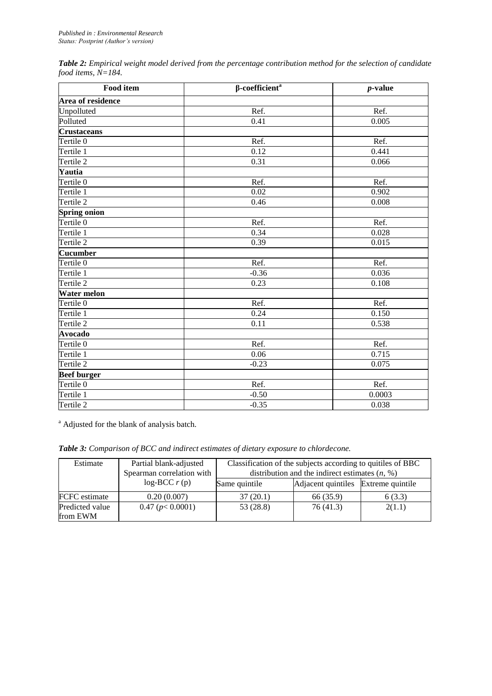| Table 2: Empirical weight model derived from the percentage contribution method for the selection of candidate |  |
|----------------------------------------------------------------------------------------------------------------|--|
| food items, $N=184$ .                                                                                          |  |

| <b>Food item</b>     | $\beta$ -coefficient <sup>a</sup> | $p$ -value |  |  |
|----------------------|-----------------------------------|------------|--|--|
| Area of residence    |                                   |            |  |  |
| Unpolluted           | Ref.                              | Ref.       |  |  |
| Polluted             | 0.41                              | 0.005      |  |  |
| <b>Crustaceans</b>   |                                   |            |  |  |
| Tertile <sub>0</sub> | Ref.                              | Ref.       |  |  |
| Tertile 1            | 0.12                              | 0.441      |  |  |
| Tertile 2            | 0.31                              | 0.066      |  |  |
| Yautia               |                                   |            |  |  |
| Tertile <sub>0</sub> | Ref.                              | Ref.       |  |  |
| Tertile 1            | 0.02                              | 0.902      |  |  |
| Tertile 2            | 0.46                              | 0.008      |  |  |
| <b>Spring onion</b>  |                                   |            |  |  |
| Tertile <sub>0</sub> | Ref.                              | Ref.       |  |  |
| Tertile 1            | 0.34                              | 0.028      |  |  |
| Tertile 2            | 0.39                              | 0.015      |  |  |
| <b>Cucumber</b>      |                                   |            |  |  |
| Tertile <sub>0</sub> | Ref.                              | Ref.       |  |  |
| Tertile 1            | $-0.36$                           | 0.036      |  |  |
| Tertile 2            | 0.23                              | 0.108      |  |  |
| <b>Water melon</b>   |                                   |            |  |  |
| Tertile <sub>0</sub> | Ref.                              | Ref.       |  |  |
| Tertile 1            | 0.24                              | 0.150      |  |  |
| Tertile 2            | 0.11                              | 0.538      |  |  |
| <b>Avocado</b>       |                                   |            |  |  |
| Tertile <sub>0</sub> | Ref.                              | Ref.       |  |  |
| Tertile 1            | 0.06                              | 0.715      |  |  |
| Tertile 2            | $-0.23$                           | 0.075      |  |  |
| <b>Beef burger</b>   |                                   |            |  |  |
| Tertile <sub>0</sub> | Ref.                              | Ref.       |  |  |
| Tertile 1            | $-0.50$                           | 0.0003     |  |  |
| Tertile 2            | $-0.35$                           | 0.038      |  |  |

<sup>a</sup> Adjusted for the blank of analysis batch.

| Table 3: Comparison of BCC and indirect estimates of dietary exposure to chlordecone. |  |  |
|---------------------------------------------------------------------------------------|--|--|
|---------------------------------------------------------------------------------------|--|--|

| Estimate                    | Partial blank-adjusted<br>Spearman correlation with | Classification of the subjects according to quitiles of BBC<br>distribution and the indirect estimates $(n, %)$ |                                     |        |  |  |
|-----------------------------|-----------------------------------------------------|-----------------------------------------------------------------------------------------------------------------|-------------------------------------|--------|--|--|
|                             | $log-BCC r(p)$                                      | Same quintile                                                                                                   | Adjacent quintiles Extreme quintile |        |  |  |
| FCFC estimate               | 0.20(0.007)                                         | 37(20.1)                                                                                                        | 66 (35.9)                           | 6(3.3) |  |  |
| Predicted value<br>from EWM | 0.47 (p < 0.0001)                                   | 53 (28.8)                                                                                                       | 76(41.3)                            | 2(1.1) |  |  |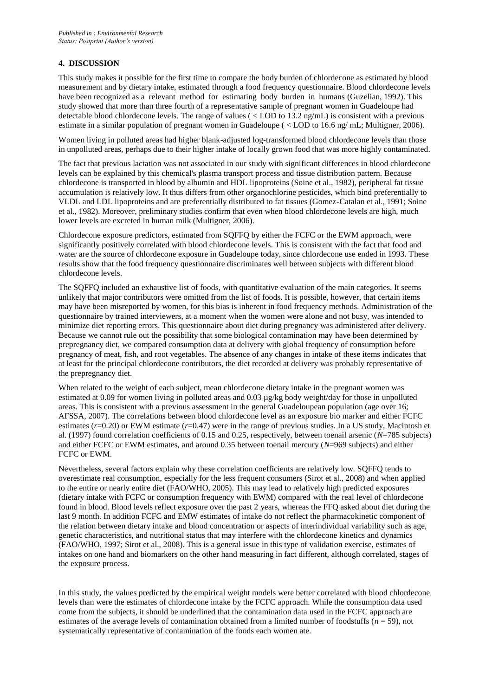#### **4. DISCUSSION**

This study makes it possible for the first time to compare the body burden of chlordecone as estimated by blood measurement and by dietary intake, estimated through a food frequency questionnaire. Blood chlordecone levels have been recognized as a relevant method for estimating body burden in humans (Guzelian, 1992). This study showed that more than three fourth of a representative sample of pregnant women in Guadeloupe had detectable blood chlordecone levels. The range of values (  $\langle$  LOD to 13.2 ng/mL) is consistent with a previous estimate in a similar population of pregnant women in Guadeloupe ( < LOD to 16.6 ng/ mL; Multigner, 2006).

Women living in polluted areas had higher blank-adjusted log-transformed blood chlordecone levels than those in unpolluted areas, perhaps due to their higher intake of locally grown food that was more highly contaminated.

The fact that previous lactation was not associated in our study with significant differences in blood chlordecone levels can be explained by this chemical's plasma transport process and tissue distribution pattern. Because chlordecone is transported in blood by albumin and HDL lipoproteins (Soine et al., 1982), peripheral fat tissue accumulation is relatively low. It thus differs from other organochlorine pesticides, which bind preferentially to VLDL and LDL lipoproteins and are preferentially distributed to fat tissues (Gomez-Catalan et al., 1991; Soine et al., 1982). Moreover, preliminary studies confirm that even when blood chlordecone levels are high, much lower levels are excreted in human milk (Multigner, 2006).

Chlordecone exposure predictors, estimated from SQFFQ by either the FCFC or the EWM approach, were significantly positively correlated with blood chlordecone levels. This is consistent with the fact that food and water are the source of chlordecone exposure in Guadeloupe today, since chlordecone use ended in 1993. These results show that the food frequency questionnaire discriminates well between subjects with different blood chlordecone levels.

The SQFFQ included an exhaustive list of foods, with quantitative evaluation of the main categories. It seems unlikely that major contributors were omitted from the list of foods. It is possible, however, that certain items may have been misreported by women, for this bias is inherent in food frequency methods. Administration of the questionnaire by trained interviewers, at a moment when the women were alone and not busy, was intended to minimize diet reporting errors. This questionnaire about diet during pregnancy was administered after delivery. Because we cannot rule out the possibility that some biological contamination may have been determined by prepregnancy diet, we compared consumption data at delivery with global frequency of consumption before pregnancy of meat, fish, and root vegetables. The absence of any changes in intake of these items indicates that at least for the principal chlordecone contributors, the diet recorded at delivery was probably representative of the prepregnancy diet.

When related to the weight of each subject, mean chlordecone dietary intake in the pregnant women was estimated at 0.09 for women living in polluted areas and 0.03 µg/kg body weight/day for those in unpolluted areas. This is consistent with a previous assessment in the general Guadeloupean population (age over 16; AFSSA, 2007). The correlations between blood chlordecone level as an exposure bio marker and either FCFC estimates (*r*=0.20) or EWM estimate (*r*=0.47) were in the range of previous studies. In a US study, Macintosh et al. (1997) found correlation coefficients of 0.15 and 0.25, respectively, between toenail arsenic (*N*=785 subjects) and either FCFC or EWM estimates, and around 0.35 between toenail mercury (*N*=969 subjects) and either FCFC or EWM.

Nevertheless, several factors explain why these correlation coefficients are relatively low. SQFFQ tends to overestimate real consumption, especially for the less frequent consumers (Sirot et al., 2008) and when applied to the entire or nearly entire diet (FAO/WHO, 2005). This may lead to relatively high predicted exposures (dietary intake with FCFC or consumption frequency with EWM) compared with the real level of chlordecone found in blood. Blood levels reflect exposure over the past 2 years, whereas the FFQ asked about diet during the last 9 month. In addition FCFC and EMW estimates of intake do not reflect the pharmacokinetic component of the relation between dietary intake and blood concentration or aspects of interindividual variability such as age, genetic characteristics, and nutritional status that may interfere with the chlordecone kinetics and dynamics (FAO/WHO, 1997; Sirot et al., 2008). This is a general issue in this type of validation exercise, estimates of intakes on one hand and biomarkers on the other hand measuring in fact different, although correlated, stages of the exposure process.

In this study, the values predicted by the empirical weight models were better correlated with blood chlordecone levels than were the estimates of chlordecone intake by the FCFC approach. While the consumption data used come from the subjects, it should be underlined that the contamination data used in the FCFC approach are estimates of the average levels of contamination obtained from a limited number of foodstuffs (*n* = 59), not systematically representative of contamination of the foods each women ate.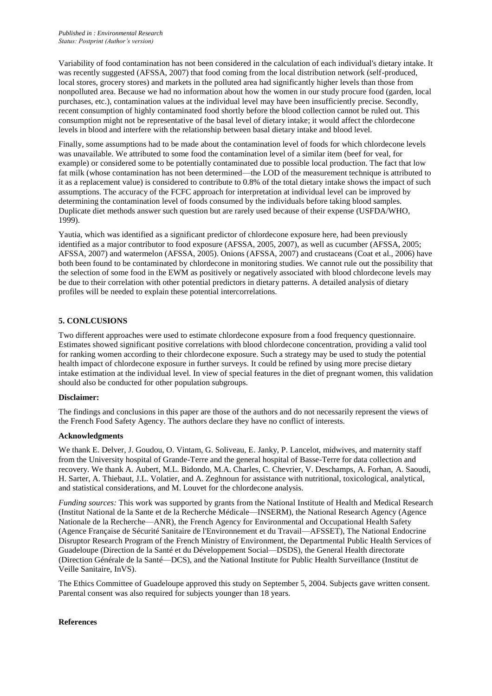Variability of food contamination has not been considered in the calculation of each individual's dietary intake. It was recently suggested (AFSSA, 2007) that food coming from the local distribution network (self-produced, local stores, grocery stores) and markets in the polluted area had significantly higher levels than those from nonpolluted area. Because we had no information about how the women in our study procure food (garden, local purchases, etc.), contamination values at the individual level may have been insufficiently precise. Secondly, recent consumption of highly contaminated food shortly before the blood collection cannot be ruled out. This consumption might not be representative of the basal level of dietary intake; it would affect the chlordecone levels in blood and interfere with the relationship between basal dietary intake and blood level.

Finally, some assumptions had to be made about the contamination level of foods for which chlordecone levels was unavailable. We attributed to some food the contamination level of a similar item (beef for veal, for example) or considered some to be potentially contaminated due to possible local production. The fact that low fat milk (whose contamination has not been determined—the LOD of the measurement technique is attributed to it as a replacement value) is considered to contribute to 0.8% of the total dietary intake shows the impact of such assumptions. The accuracy of the FCFC approach for interpretation at individual level can be improved by determining the contamination level of foods consumed by the individuals before taking blood samples. Duplicate diet methods answer such question but are rarely used because of their expense (USFDA/WHO, 1999).

Yautia, which was identified as a significant predictor of chlordecone exposure here, had been previously identified as a major contributor to food exposure (AFSSA, 2005, 2007), as well as cucumber (AFSSA, 2005; AFSSA, 2007) and watermelon (AFSSA, 2005). Onions (AFSSA, 2007) and crustaceans (Coat et al., 2006) have both been found to be contaminated by chlordecone in monitoring studies. We cannot rule out the possibility that the selection of some food in the EWM as positively or negatively associated with blood chlordecone levels may be due to their correlation with other potential predictors in dietary patterns. A detailed analysis of dietary profiles will be needed to explain these potential intercorrelations.

## **5. CONLCUSIONS**

Two different approaches were used to estimate chlordecone exposure from a food frequency questionnaire. Estimates showed significant positive correlations with blood chlordecone concentration, providing a valid tool for ranking women according to their chlordecone exposure. Such a strategy may be used to study the potential health impact of chlordecone exposure in further surveys. It could be refined by using more precise dietary intake estimation at the individual level. In view of special features in the diet of pregnant women, this validation should also be conducted for other population subgroups.

#### **Disclaimer:**

The findings and conclusions in this paper are those of the authors and do not necessarily represent the views of the French Food Safety Agency. The authors declare they have no conflict of interests.

#### **Acknowledgments**

We thank E. Delver, J. Goudou, O. Vintam, G. Soliveau, E. Janky, P. Lancelot, midwives, and maternity staff from the University hospital of Grande-Terre and the general hospital of Basse-Terre for data collection and recovery. We thank A. Aubert, M.L. Bidondo, M.A. Charles, C. Chevrier, V. Deschamps, A. Forhan, A. Saoudi, H. Sarter, A. Thiebaut, J.L. Volatier, and A. Zeghnoun for assistance with nutritional, toxicological, analytical, and statistical considerations, and M. Louvet for the chlordecone analysis.

*Funding sources:* This work was supported by grants from the National Institute of Health and Medical Research (Institut National de la Sante et de la Recherche Médicale—INSERM), the National Research Agency (Agence Nationale de la Recherche—ANR), the French Agency for Environmental and Occupational Health Safety (Agence Française de Sécurité Sanitaire de l'Environnement et du Travail—AFSSET), The National Endocrine Disruptor Research Program of the French Ministry of Environment, the Departmental Public Health Services of Guadeloupe (Direction de la Santé et du Développement Social—DSDS), the General Health directorate (Direction Générale de la Santé—DCS), and the National Institute for Public Health Surveillance (Institut de Veille Sanitaire, InVS).

The Ethics Committee of Guadeloupe approved this study on September 5, 2004. Subjects gave written consent. Parental consent was also required for subjects younger than 18 years.

#### **References**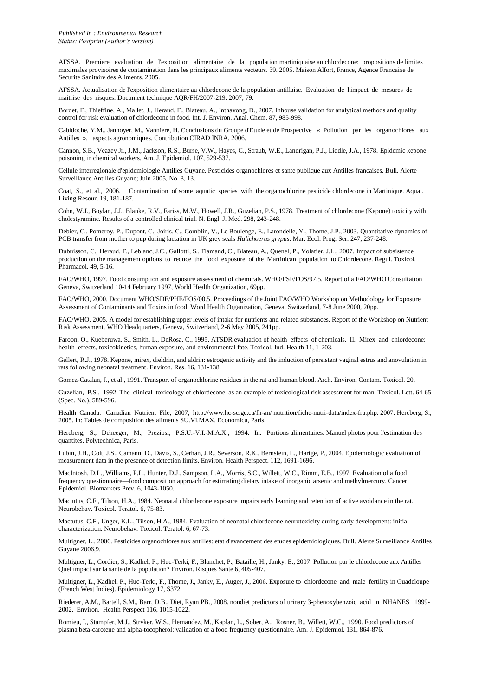AFSSA. Premiere evaluation de l'exposition alimentaire de la population martiniquaise au chlordecone: propositions de limites maximales provisoires de contamination dans les principaux aliments vecteurs. 39. 2005. Maison Alfort, France, Agence Francaise de Securite Sanitaire des Aliments. 2005.

AFSSA. Actualisation de l'exposition alimentaire au chlordecone de la population antillaise. Evaluation de l'impact de mesures de maitrise des risques. Document technique AQR/FH/2007-219. 2007; 79.

Bordet, F., Thieffine, A., Mallet, J., Heraud, F., Blateau, A., Inthavong, D., 2007. Inhouse validation for analytical methods and quality control for risk evaluation of chlordecone in food. Int. J. Environ. Anal. Chem. 87, 985-998.

Cabidoche, Y.M., Jannoyer, M., Vanniere, H. Conclusions du Groupe d'Etude et de Prospective « Pollution par les organochlores aux Antilles », aspects agronomiques. Contribution CIRAD INRA. 2006.

Cannon, S.B., Veazey Jr., J.M., Jackson, R.S., Burse, V.W., Hayes, C., Straub, W.E., Landrigan, P.J., Liddle, J.A., 1978. Epidemic kepone poisoning in chemical workers. Am. J. Epidemiol. 107, 529-537.

Cellule interregionale d'epidemiologie Antilles Guyane. Pesticides organochlores et sante publique aux Antilles francaises. Bull. Alerte Surveillance Antilles Guyane; Juin 2005, No. 8, 13.

Coat, S., et al., 2006. Contamination of some aquatic species with the organochlorine pesticide chlordecone in Martinique. Aquat. Living Resour. 19, 181-187.

Cohn, W.J., Boylan, J.J., Blanke, R.V., Fariss, M.W., Howell, J.R., Guzelian, P.S., 1978. Treatment of chlordecone (Kepone) toxicity with cholestyramine. Results of a controlled clinical trial. N. Engl. J. Med. 298, 243-248.

Debier, C., Pomeroy, P., Dupont, C., Joiris, C., Comblin, V., Le Boulenge, E., Larondelle, Y., Thome, J.P., 2003. Quantitative dynamics of PCB transfer from mother to pup during lactation in UK grey seals *Halichoerus grypus.* Mar. Ecol. Prog. Ser. 247, 237-248.

Dubuisson, C., Heraud, F., Leblanc, J.C., Gallotti, S., Flamand, C., Blateau, A., Quenel, P., Volatier, J.L., 2007. Impact of subsistence production on the management options to reduce the food exposure of the Martinican population to Chlordecone. Regul. Toxicol. Pharmacol. 49, 5-16.

FAO/WHO, 1997. Food consumption and exposure assessment of chemicals. WHO/FSF/FOS/97.5. Report of a FAO/WHO Consultation Geneva, Switzerland 10-14 February 1997, World Health Organization, 69pp.

FAO/WHO, 2000. Document WHO/SDE/PHE/FOS/00.5. Proceedings of the Joint FAO/WHO Workshop on Methodology for Exposure Assessment of Contaminants and Toxins in food. Word Health Organization, Geneva, Switzerland, 7-8 June 2000, 20pp.

FAO/WHO, 2005. A model for establishing upper levels of intake for nutrients and related substances. Report of the Workshop on Nutrient Risk Assessment, WHO Headquarters, Geneva, Switzerland, 2-6 May 2005, 241pp.

Faroon, O., Kueberuwa, S., Smith, L., DeRosa, C., 1995. ATSDR evaluation of health effects of chemicals. II. Mirex and chlordecone: health effects, toxicokinetics, human exposure, and environmental fate. Toxicol. Ind. Health 11, 1-203.

Gellert, R.J., 1978. Kepone, mirex, dieldrin, and aldrin: estrogenic activity and the induction of persistent vaginal estrus and anovulation in rats following neonatal treatment. Environ. Res. 16, 131-138.

Gomez-Catalan, J., et al., 1991. Transport of organochlorine residues in the rat and human blood. Arch. Environ. Contam. Toxicol. 20.

Guzelian, P.S., 1992. The clinical toxicology of chlordecone as an example of toxicological risk assessment for man. Toxicol. Lett. 64-65 (Spec. No.), 589-596.

Health Canada. Canadian Nutrient File, 2007,<http://www.hc-sc.gc.ca/fn-an/> nutrition/fiche-nutri-data/index-fra.php. 2007. Hercberg, S., 2005. In: Tables de composition des aliments SU.VI.MAX. Economica, Paris.

Hercberg, S., Deheeger, M., Preziosi, P.S.U.-V.I.-M.A.X., 1994. In: Portions alimentaires. Manuel photos pour l'estimation des quantites. Polytechnica, Paris.

Lubin, J.H., Colt, J.S., Camann, D., Davis, S., Cerhan, J.R., Severson, R.K., Bernstein, L., Hartge, P., 2004. Epidemiologic evaluation of measurement data in the presence of detection limits. Environ. Health Perspect. 112, 1691-1696.

MacIntosh, D.L., Williams, P.L., Hunter, D.J., Sampson, L.A., Morris, S.C., Willett, W.C., Rimm, E.B., 1997. Evaluation of a food frequency questionnaire—food composition approach for estimating dietary intake of inorganic arsenic and methylmercury. Cancer Epidemiol. Biomarkers Prev. 6, 1043-1050.

Mactutus, C.F., Tilson, H.A., 1984. Neonatal chlordecone exposure impairs early learning and retention of active avoidance in the rat. Neurobehav. Toxicol. Teratol. 6, 75-83.

Mactutus, C.F., Unger, K.L., Tilson, H.A., 1984. Evaluation of neonatal chlordecone neurotoxicity during early development: initial characterization. Neurobehav. Toxicol. Teratol. 6, 67-73.

Multigner, L., 2006. Pesticides organochlores aux antilles: etat d'avancement des etudes epidemiologiques. Bull. Alerte Surveillance Antilles Guyane 2006,9.

Multigner, L., Cordier, S., Kadhel, P., Huc-Terki, F., Blanchet, P., Bataille, H., Janky, E., 2007. Pollution par le chlordecone aux Antilles Quel impact sur la sante de la population? Environ. Risques Sante 6, 405-407.

Multigner, L., Kadhel, P., Huc-Terki, F., Thome, J., Janky, E., Auger, J., 2006. Exposure to chlordecone and male fertility in Guadeloupe (French West Indies). Epidemiology 17, S372.

Riederer, A.M., Bartell, S.M., Barr, D.B., Diet, Ryan PB., 2008. nondiet predictors of urinary 3-phenoxybenzoic acid in NHANES 1999- 2002. Environ. Health Perspect 116, 1015-1022.

Romieu, I., Stampfer, M.J., Stryker, W.S., Hernandez, M., Kaplan, L., Sober, A., Rosner, B., Willett, W.C., 1990. Food predictors of plasma beta-carotene and alpha-tocopherol: validation of a food frequency questionnaire. Am. J. Epidemiol. 131, 864-876.